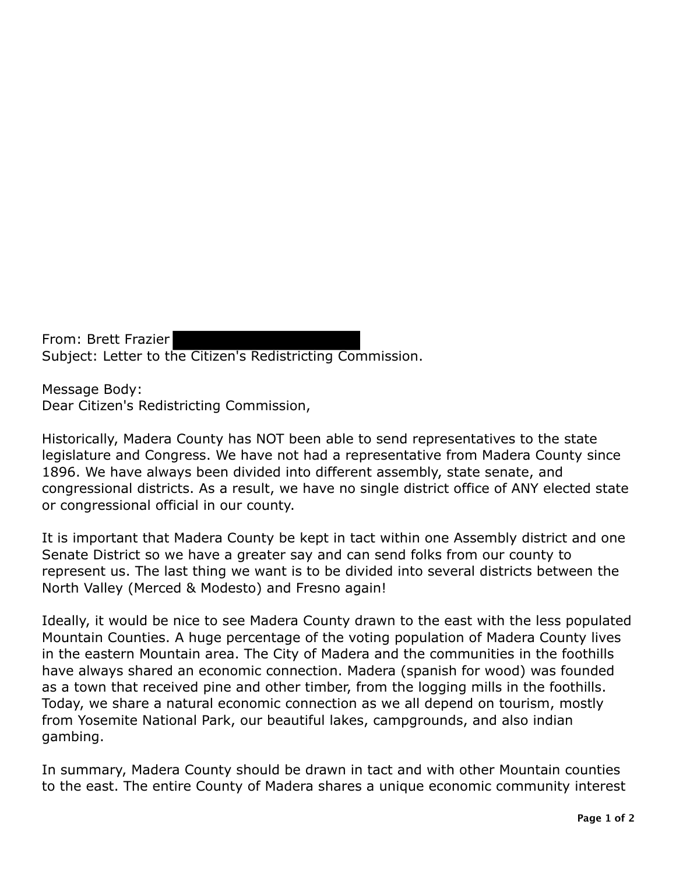From: Brett Frazier Subject: Letter to the Citizen's Redistricting Commission.

Message Body: Dear Citizen's Redistricting Commission,

Historically, Madera County has NOT been able to send representatives to the state legislature and Congress. We have not had a representative from Madera County since 1896. We have always been divided into different assembly, state senate, and congressional districts. As a result, we have no single district office of ANY elected state or congressional official in our county.

It is important that Madera County be kept in tact within one Assembly district and one Senate District so we have a greater say and can send folks from our county to represent us. The last thing we want is to be divided into several districts between the North Valley (Merced & Modesto) and Fresno again!

Ideally, it would be nice to see Madera County drawn to the east with the less populated Mountain Counties. A huge percentage of the voting population of Madera County lives in the eastern Mountain area. The City of Madera and the communities in the foothills have always shared an economic connection. Madera (spanish for wood) was founded as a town that received pine and other timber, from the logging mills in the foothills. Today, we share a natural economic connection as we all depend on tourism, mostly from Yosemite National Park, our beautiful lakes, campgrounds, and also indian gambing.

In summary, Madera County should be drawn in tact and with other Mountain counties to the east. The entire County of Madera shares a unique economic community interest